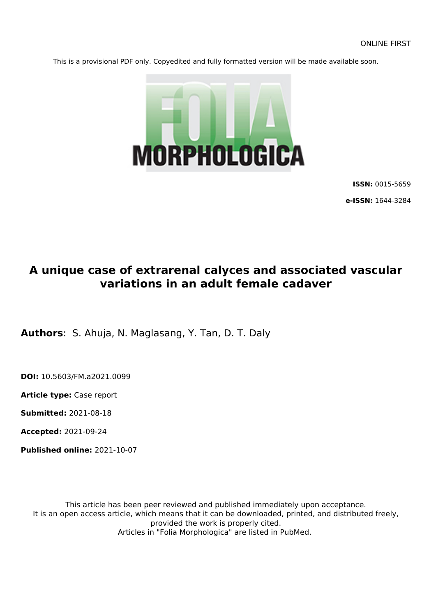This is a provisional PDF only. Copyedited and fully formatted version will be made available soon.



**ISSN:** 0015-5659

**e-ISSN:** 1644-3284

# **A unique case of extrarenal calyces and associated vascular variations in an adult female cadaver**

**Authors**: S. Ahuja, N. Maglasang, Y. Tan, D. T. Daly

**DOI:** 10.5603/FM.a2021.0099

**Article type:** Case report

**Submitted:** 2021-08-18

**Accepted:** 2021-09-24

**Published online:** 2021-10-07

This article has been peer reviewed and published immediately upon acceptance. It is an open access article, which means that it can be downloaded, printed, and distributed freely, provided the work is properly cited. Articles in "Folia Morphologica" are listed in PubMed.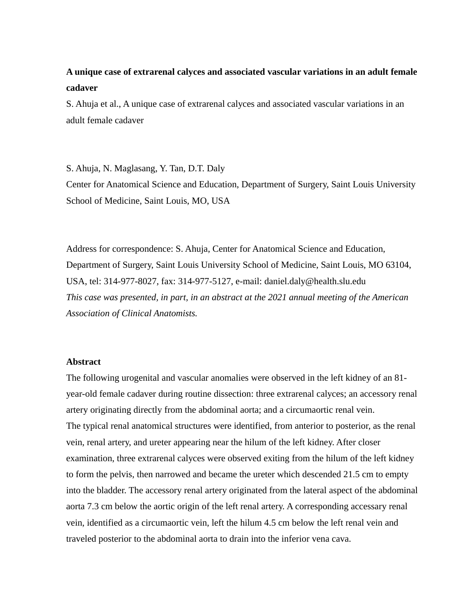# **A unique case of extrarenal calyces and associated vascular variations in an adult female cadaver**

S. Ahuja et al., A unique case of extrarenal calyces and associated vascular variations in an adult female cadaver

S. Ahuja, N. Maglasang, Y. Tan, D.T. Daly Center for Anatomical Science and Education, Department of Surgery, Saint Louis University School of Medicine, Saint Louis, MO, USA

Address for correspondence: S. Ahuja, Center for Anatomical Science and Education, Department of Surgery, Saint Louis University School of Medicine, Saint Louis, MO 63104, USA, tel: 314-977-8027, fax: 314-977-5127, e-mail: daniel.daly@health.slu.edu *This case was presented, in part, in an abstract at the 2021 annual meeting of the American Association of Clinical Anatomists.*

# **Abstract**

The following urogenital and vascular anomalies were observed in the left kidney of an 81 year-old female cadaver during routine dissection: three extrarenal calyces; an accessory renal artery originating directly from the abdominal aorta; and a circumaortic renal vein. The typical renal anatomical structures were identified, from anterior to posterior, as the renal vein, renal artery, and ureter appearing near the hilum of the left kidney. After closer examination, three extrarenal calyces were observed exiting from the hilum of the left kidney to form the pelvis, then narrowed and became the ureter which descended 21.5 cm to empty into the bladder. The accessory renal artery originated from the lateral aspect of the abdominal aorta 7.3 cm below the aortic origin of the left renal artery. A corresponding accessary renal vein, identified as a circumaortic vein, left the hilum 4.5 cm below the left renal vein and traveled posterior to the abdominal aorta to drain into the inferior vena cava.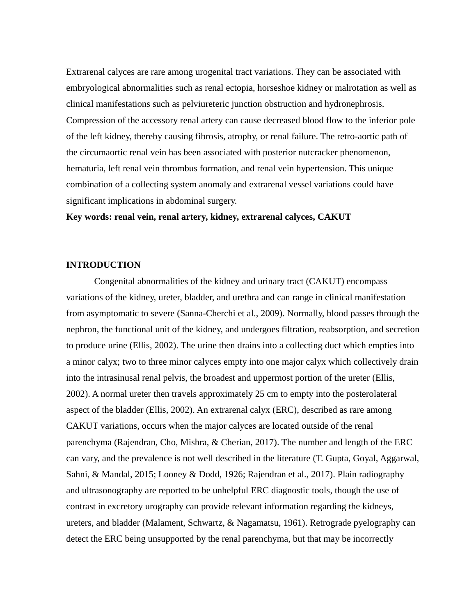Extrarenal calyces are rare among urogenital tract variations. They can be associated with embryological abnormalities such as renal ectopia, horseshoe kidney or malrotation as well as clinical manifestations such as pelviureteric junction obstruction and hydronephrosis. Compression of the accessory renal artery can cause decreased blood flow to the inferior pole of the left kidney, thereby causing fibrosis, atrophy, or renal failure. The retro-aortic path of the circumaortic renal vein has been associated with posterior nutcracker phenomenon, hematuria, left renal vein thrombus formation, and renal vein hypertension. This unique combination of a collecting system anomaly and extrarenal vessel variations could have significant implications in abdominal surgery.

**Key words: renal vein, renal artery, kidney, extrarenal calyces, CAKUT**

# **INTRODUCTION**

Congenital abnormalities of the kidney and urinary tract (CAKUT) encompass variations of the kidney, ureter, bladder, and urethra and can range in clinical manifestation from asymptomatic to severe (Sanna-Cherchi et al., 2009). Normally, blood passes through the nephron, the functional unit of the kidney, and undergoes filtration, reabsorption, and secretion to produce urine (Ellis, 2002). The urine then drains into a collecting duct which empties into a minor calyx; two to three minor calyces empty into one major calyx which collectively drain into the intrasinusal renal pelvis, the broadest and uppermost portion of the ureter (Ellis, 2002). A normal ureter then travels approximately 25 cm to empty into the posterolateral aspect of the bladder (Ellis, 2002). An extrarenal calyx (ERC), described as rare among CAKUT variations, occurs when the major calyces are located outside of the renal parenchyma (Rajendran, Cho, Mishra, & Cherian, 2017). The number and length of the ERC can vary, and the prevalence is not well described in the literature (T. Gupta, Goyal, Aggarwal, Sahni, & Mandal, 2015; Looney & Dodd, 1926; Rajendran et al., 2017). Plain radiography and ultrasonography are reported to be unhelpful ERC diagnostic tools, though the use of contrast in excretory urography can provide relevant information regarding the kidneys, ureters, and bladder (Malament, Schwartz, & Nagamatsu, 1961). Retrograde pyelography can detect the ERC being unsupported by the renal parenchyma, but that may be incorrectly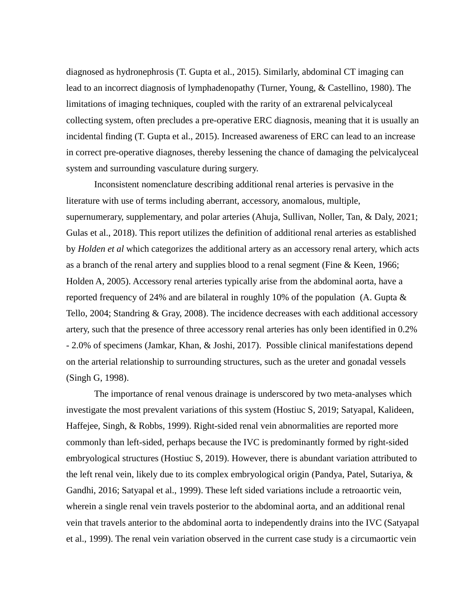diagnosed as hydronephrosis (T. Gupta et al., 2015). Similarly, abdominal CT imaging can lead to an incorrect diagnosis of lymphadenopathy (Turner, Young, & Castellino, 1980). The limitations of imaging techniques, coupled with the rarity of an extrarenal pelvicalyceal collecting system, often precludes a pre-operative ERC diagnosis, meaning that it is usually an incidental finding (T. Gupta et al., 2015). Increased awareness of ERC can lead to an increase in correct pre-operative diagnoses, thereby lessening the chance of damaging the pelvicalyceal system and surrounding vasculature during surgery.

Inconsistent nomenclature describing additional renal arteries is pervasive in the literature with use of terms including aberrant, accessory, anomalous, multiple, supernumerary, supplementary, and polar arteries (Ahuja, Sullivan, Noller, Tan, & Daly, 2021; Gulas et al., 2018). This report utilizes the definition of additional renal arteries as established by *Holden et al* which categorizes the additional artery as an accessory renal artery, which acts as a branch of the renal artery and supplies blood to a renal segment (Fine & Keen, 1966; Holden A, 2005). Accessory renal arteries typically arise from the abdominal aorta, have a reported frequency of 24% and are bilateral in roughly 10% of the population (A. Gupta & Tello, 2004; Standring & Gray, 2008). The incidence decreases with each additional accessory artery, such that the presence of three accessory renal arteries has only been identified in 0.2% - 2.0% of specimens (Jamkar, Khan, & Joshi, 2017). Possible clinical manifestations depend on the arterial relationship to surrounding structures, such as the ureter and gonadal vessels (Singh G, 1998).

The importance of renal venous drainage is underscored by two meta-analyses which investigate the most prevalent variations of this system (Hostiuc S, 2019; Satyapal, Kalideen, Haffejee, Singh, & Robbs, 1999). Right-sided renal vein abnormalities are reported more commonly than left-sided, perhaps because the IVC is predominantly formed by right-sided embryological structures (Hostiuc S, 2019). However, there is abundant variation attributed to the left renal vein, likely due to its complex embryological origin (Pandya, Patel, Sutariya, & Gandhi, 2016; Satyapal et al., 1999). These left sided variations include a retroaortic vein, wherein a single renal vein travels posterior to the abdominal aorta, and an additional renal vein that travels anterior to the abdominal aorta to independently drains into the IVC (Satyapal et al., 1999). The renal vein variation observed in the current case study is a circumaortic vein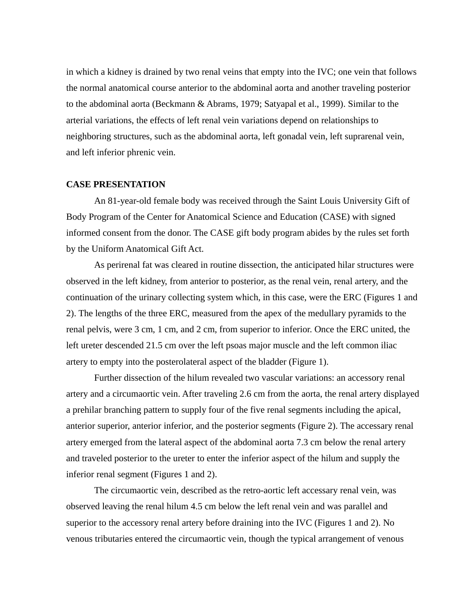in which a kidney is drained by two renal veins that empty into the IVC; one vein that follows the normal anatomical course anterior to the abdominal aorta and another traveling posterior to the abdominal aorta (Beckmann & Abrams, 1979; Satyapal et al., 1999). Similar to the arterial variations, the effects of left renal vein variations depend on relationships to neighboring structures, such as the abdominal aorta, left gonadal vein, left suprarenal vein, and left inferior phrenic vein.

#### **CASE PRESENTATION**

An 81-year-old female body was received through the Saint Louis University Gift of Body Program of the Center for Anatomical Science and Education (CASE) with signed informed consent from the donor. The CASE gift body program abides by the rules set forth by the Uniform Anatomical Gift Act.

As perirenal fat was cleared in routine dissection, the anticipated hilar structures were observed in the left kidney, from anterior to posterior, as the renal vein, renal artery, and the continuation of the urinary collecting system which, in this case, were the ERC (Figures 1 and 2). The lengths of the three ERC, measured from the apex of the medullary pyramids to the renal pelvis, were 3 cm, 1 cm, and 2 cm, from superior to inferior. Once the ERC united, the left ureter descended 21.5 cm over the left psoas major muscle and the left common iliac artery to empty into the posterolateral aspect of the bladder (Figure 1).

Further dissection of the hilum revealed two vascular variations: an accessory renal artery and a circumaortic vein. After traveling 2.6 cm from the aorta, the renal artery displayed a prehilar branching pattern to supply four of the five renal segments including the apical, anterior superior, anterior inferior, and the posterior segments (Figure 2). The accessary renal artery emerged from the lateral aspect of the abdominal aorta 7.3 cm below the renal artery and traveled posterior to the ureter to enter the inferior aspect of the hilum and supply the inferior renal segment (Figures 1 and 2).

The circumaortic vein, described as the retro-aortic left accessary renal vein, was observed leaving the renal hilum 4.5 cm below the left renal vein and was parallel and superior to the accessory renal artery before draining into the IVC (Figures 1 and 2). No venous tributaries entered the circumaortic vein, though the typical arrangement of venous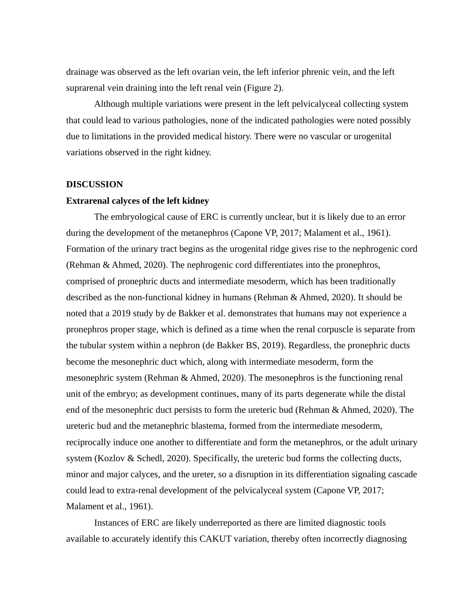drainage was observed as the left ovarian vein, the left inferior phrenic vein, and the left suprarenal vein draining into the left renal vein (Figure 2).

Although multiple variations were present in the left pelvicalyceal collecting system that could lead to various pathologies, none of the indicated pathologies were noted possibly due to limitations in the provided medical history. There were no vascular or urogenital variations observed in the right kidney.

#### **DISCUSSION**

#### **Extrarenal calyces of the left kidney**

The embryological cause of ERC is currently unclear, but it is likely due to an error during the development of the metanephros (Capone VP, 2017; Malament et al., 1961). Formation of the urinary tract begins as the urogenital ridge gives rise to the nephrogenic cord (Rehman & Ahmed, 2020). The nephrogenic cord differentiates into the pronephros, comprised of pronephric ducts and intermediate mesoderm, which has been traditionally described as the non-functional kidney in humans (Rehman & Ahmed, 2020). It should be noted that a 2019 study by de Bakker et al. demonstrates that humans may not experience a pronephros proper stage, which is defined as a time when the renal corpuscle is separate from the tubular system within a nephron (de Bakker BS, 2019). Regardless, the pronephric ducts become the mesonephric duct which, along with intermediate mesoderm, form the mesonephric system (Rehman & Ahmed, 2020). The mesonephros is the functioning renal unit of the embryo; as development continues, many of its parts degenerate while the distal end of the mesonephric duct persists to form the ureteric bud (Rehman & Ahmed, 2020). The ureteric bud and the metanephric blastema, formed from the intermediate mesoderm, reciprocally induce one another to differentiate and form the metanephros, or the adult urinary system (Kozlov & Schedl, 2020). Specifically, the ureteric bud forms the collecting ducts, minor and major calyces, and the ureter, so a disruption in its differentiation signaling cascade could lead to extra-renal development of the pelvicalyceal system (Capone VP, 2017; Malament et al., 1961).

Instances of ERC are likely underreported as there are limited diagnostic tools available to accurately identify this CAKUT variation, thereby often incorrectly diagnosing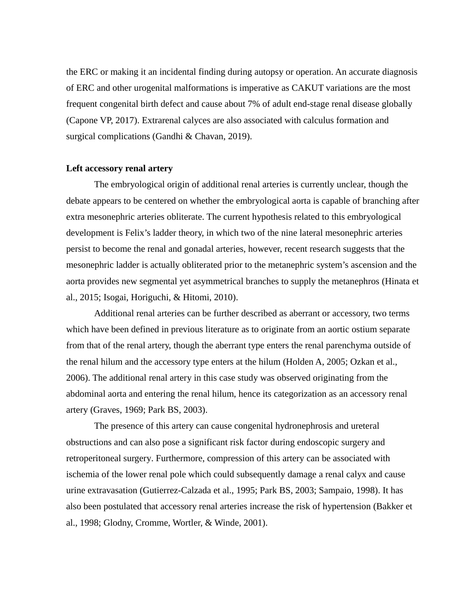the ERC or making it an incidental finding during autopsy or operation. An accurate diagnosis of ERC and other urogenital malformations is imperative as CAKUT variations are the most frequent congenital birth defect and cause about 7% of adult end-stage renal disease globally (Capone VP, 2017). Extrarenal calyces are also associated with calculus formation and surgical complications (Gandhi & Chavan, 2019).

#### **Left accessory renal artery**

The embryological origin of additional renal arteries is currently unclear, though the debate appears to be centered on whether the embryological aorta is capable of branching after extra mesonephric arteries obliterate. The current hypothesis related to this embryological development is Felix's ladder theory, in which two of the nine lateral mesonephric arteries persist to become the renal and gonadal arteries, however, recent research suggests that the mesonephric ladder is actually obliterated prior to the metanephric system's ascension and the aorta provides new segmental yet asymmetrical branches to supply the metanephros (Hinata et al., 2015; Isogai, Horiguchi, & Hitomi, 2010).

Additional renal arteries can be further described as aberrant or accessory, two terms which have been defined in previous literature as to originate from an aortic ostium separate from that of the renal artery, though the aberrant type enters the renal parenchyma outside of the renal hilum and the accessory type enters at the hilum (Holden A, 2005; Ozkan et al., 2006). The additional renal artery in this case study was observed originating from the abdominal aorta and entering the renal hilum, hence its categorization as an accessory renal artery (Graves, 1969; Park BS, 2003).

The presence of this artery can cause congenital hydronephrosis and ureteral obstructions and can also pose a significant risk factor during endoscopic surgery and retroperitoneal surgery. Furthermore, compression of this artery can be associated with ischemia of the lower renal pole which could subsequently damage a renal calyx and cause urine extravasation (Gutierrez-Calzada et al., 1995; Park BS, 2003; Sampaio, 1998). It has also been postulated that accessory renal arteries increase the risk of hypertension (Bakker et al., 1998; Glodny, Cromme, Wortler, & Winde, 2001).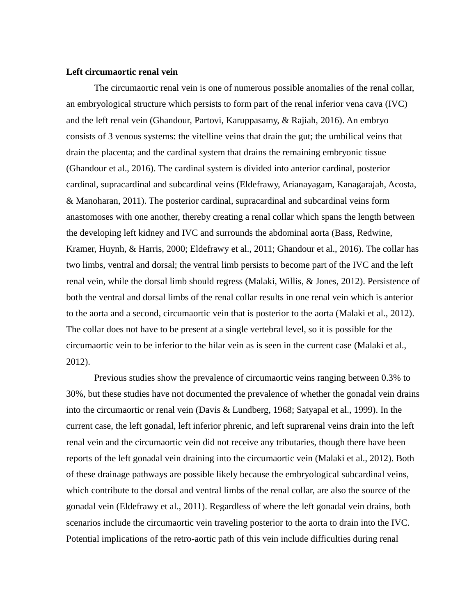#### **Left circumaortic renal vein**

The circumaortic renal vein is one of numerous possible anomalies of the renal collar, an embryological structure which persists to form part of the renal inferior vena cava (IVC) and the left renal vein (Ghandour, Partovi, Karuppasamy, & Rajiah, 2016). An embryo consists of 3 venous systems: the vitelline veins that drain the gut; the umbilical veins that drain the placenta; and the cardinal system that drains the remaining embryonic tissue (Ghandour et al., 2016). The cardinal system is divided into anterior cardinal, posterior cardinal, supracardinal and subcardinal veins (Eldefrawy, Arianayagam, Kanagarajah, Acosta, & Manoharan, 2011). The posterior cardinal, supracardinal and subcardinal veins form anastomoses with one another, thereby creating a renal collar which spans the length between the developing left kidney and IVC and surrounds the abdominal aorta (Bass, Redwine, Kramer, Huynh, & Harris, 2000; Eldefrawy et al., 2011; Ghandour et al., 2016). The collar has two limbs, ventral and dorsal; the ventral limb persists to become part of the IVC and the left renal vein, while the dorsal limb should regress (Malaki, Willis, & Jones, 2012). Persistence of both the ventral and dorsal limbs of the renal collar results in one renal vein which is anterior to the aorta and a second, circumaortic vein that is posterior to the aorta (Malaki et al., 2012). The collar does not have to be present at a single vertebral level, so it is possible for the circumaortic vein to be inferior to the hilar vein as is seen in the current case (Malaki et al., 2012).

Previous studies show the prevalence of circumaortic veins ranging between 0.3% to 30%, but these studies have not documented the prevalence of whether the gonadal vein drains into the circumaortic or renal vein (Davis & Lundberg, 1968; Satyapal et al., 1999). In the current case, the left gonadal, left inferior phrenic, and left suprarenal veins drain into the left renal vein and the circumaortic vein did not receive any tributaries, though there have been reports of the left gonadal vein draining into the circumaortic vein (Malaki et al., 2012). Both of these drainage pathways are possible likely because the embryological subcardinal veins, which contribute to the dorsal and ventral limbs of the renal collar, are also the source of the gonadal vein (Eldefrawy et al., 2011). Regardless of where the left gonadal vein drains, both scenarios include the circumaortic vein traveling posterior to the aorta to drain into the IVC. Potential implications of the retro-aortic path of this vein include difficulties during renal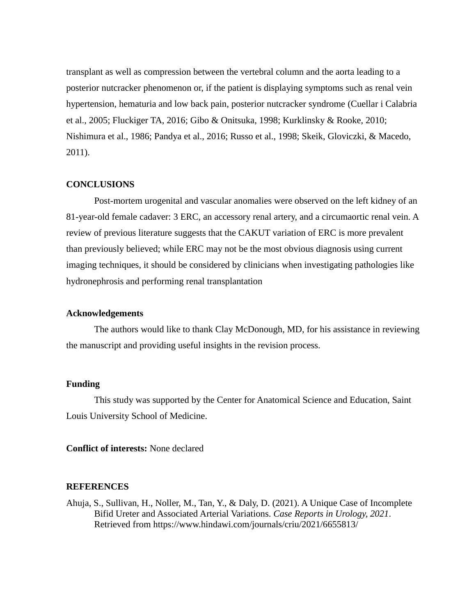transplant as well as compression between the vertebral column and the aorta leading to a posterior nutcracker phenomenon or, if the patient is displaying symptoms such as renal vein hypertension, hematuria and low back pain, posterior nutcracker syndrome (Cuellar i Calabria et al., 2005; Fluckiger TA, 2016; Gibo & Onitsuka, 1998; Kurklinsky & Rooke, 2010; Nishimura et al., 1986; Pandya et al., 2016; Russo et al., 1998; Skeik, Gloviczki, & Macedo, 2011).

# **CONCLUSIONS**

Post-mortem urogenital and vascular anomalies were observed on the left kidney of an 81-year-old female cadaver: 3 ERC, an accessory renal artery, and a circumaortic renal vein. A review of previous literature suggests that the CAKUT variation of ERC is more prevalent than previously believed; while ERC may not be the most obvious diagnosis using current imaging techniques, it should be considered by clinicians when investigating pathologies like hydronephrosis and performing renal transplantation

# **Acknowledgements**

The authors would like to thank Clay McDonough, MD, for his assistance in reviewing the manuscript and providing useful insights in the revision process.

# **Funding**

This study was supported by the Center for Anatomical Science and Education, Saint Louis University School of Medicine.

**Conflict of interests:** None declared

# **REFERENCES**

Ahuja, S., Sullivan, H., Noller, M., Tan, Y., & Daly, D. (2021). A Unique Case of Incomplete Bifid Ureter and Associated Arterial Variations. *Case Reports in Urology, 2021*. Retrieved from https://www.hindawi.com/journals/criu/2021/6655813/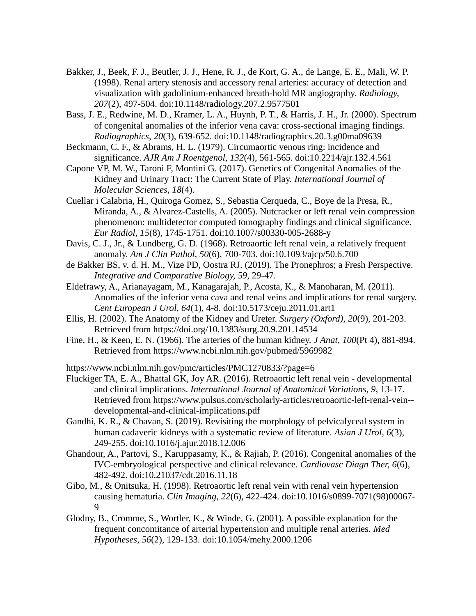- Bakker, J., Beek, F. J., Beutler, J. J., Hene, R. J., de Kort, G. A., de Lange, E. E., Mali, W. P. (1998). Renal artery stenosis and accessory renal arteries: accuracy of detection and visualization with gadolinium-enhanced breath-hold MR angiography. *Radiology, 207*(2), 497-504. doi:10.1148/radiology.207.2.9577501
- Bass, J. E., Redwine, M. D., Kramer, L. A., Huynh, P. T., & Harris, J. H., Jr. (2000). Spectrum of congenital anomalies of the inferior vena cava: cross-sectional imaging findings. *Radiographics, 20*(3), 639-652. doi:10.1148/radiographics.20.3.g00ma09639
- Beckmann, C. F., & Abrams, H. L. (1979). Circumaortic venous ring: incidence and significance. *AJR Am J Roentgenol, 132*(4), 561-565. doi:10.2214/ajr.132.4.561
- Capone VP, M. W., Taroni F, Montini G. (2017). Genetics of Congenital Anomalies of the Kidney and Urinary Tract: The Current State of Play. *International Journal of Molecular Sciences, 18*(4).
- Cuellar i Calabria, H., Quiroga Gomez, S., Sebastia Cerqueda, C., Boye de la Presa, R., Miranda, A., & Alvarez-Castells, A. (2005). Nutcracker or left renal vein compression phenomenon: multidetector computed tomography findings and clinical significance. *Eur Radiol, 15*(8), 1745-1751. doi:10.1007/s00330-005-2688-y
- Davis, C. J., Jr., & Lundberg, G. D. (1968). Retroaortic left renal vein, a relatively frequent anomaly. *Am J Clin Pathol, 50*(6), 700-703. doi:10.1093/ajcp/50.6.700
- de Bakker BS, v. d. H. M., Vize PD, Oostra RJ. (2019). The Pronephros; a Fresh Perspective. *Integrative and Comparative Biology, 59*, 29-47.
- Eldefrawy, A., Arianayagam, M., Kanagarajah, P., Acosta, K., & Manoharan, M. (2011). Anomalies of the inferior vena cava and renal veins and implications for renal surgery. *Cent European J Urol, 64*(1), 4-8. doi:10.5173/ceju.2011.01.art1
- Ellis, H. (2002). The Anatomy of the Kidney and Ureter. *Surgery (Oxford), 20*(9), 201-203. Retrieved from https://doi.org/10.1383/surg.20.9.201.14534
- Fine, H., & Keen, E. N. (1966). The arteries of the human kidney. *J Anat, 100*(Pt 4), 881-894. Retrieved from https://www.ncbi.nlm.nih.gov/pubmed/5969982

https://www.ncbi.nlm.nih.gov/pmc/articles/PMC1270833/?page=6

- Fluckiger TA, E. A., Bhattal GK, Joy AR. (2016). Retroaortic left renal vein developmental and clinical implications. *International Journal of Anatomical Variations, 9*, 13-17. Retrieved from https://www.pulsus.com/scholarly-articles/retroaortic-left-renal-vein- developmental-and-clinical-implications.pdf
- Gandhi, K. R., & Chavan, S. (2019). Revisiting the morphology of pelvicalyceal system in human cadaveric kidneys with a systematic review of literature. *Asian J Urol, 6*(3), 249-255. doi:10.1016/j.ajur.2018.12.006
- Ghandour, A., Partovi, S., Karuppasamy, K., & Rajiah, P. (2016). Congenital anomalies of the IVC-embryological perspective and clinical relevance. *Cardiovasc Diagn Ther, 6*(6), 482-492. doi:10.21037/cdt.2016.11.18
- Gibo, M., & Onitsuka, H. (1998). Retroaortic left renal vein with renal vein hypertension causing hematuria. *Clin Imaging, 22*(6), 422-424. doi:10.1016/s0899-7071(98)00067- 9
- Glodny, B., Cromme, S., Wortler, K., & Winde, G. (2001). A possible explanation for the frequent concomitance of arterial hypertension and multiple renal arteries. *Med Hypotheses, 56*(2), 129-133. doi:10.1054/mehy.2000.1206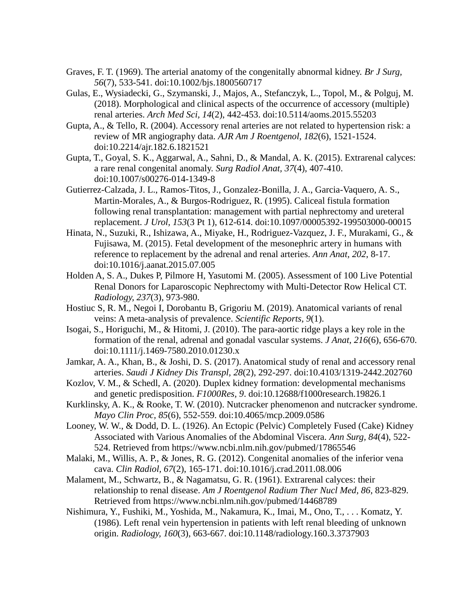- Graves, F. T. (1969). The arterial anatomy of the congenitally abnormal kidney. *Br J Surg, 56*(7), 533-541. doi:10.1002/bjs.1800560717
- Gulas, E., Wysiadecki, G., Szymanski, J., Majos, A., Stefanczyk, L., Topol, M., & Polguj, M. (2018). Morphological and clinical aspects of the occurrence of accessory (multiple) renal arteries. *Arch Med Sci, 14*(2), 442-453. doi:10.5114/aoms.2015.55203
- Gupta, A., & Tello, R. (2004). Accessory renal arteries are not related to hypertension risk: a review of MR angiography data. *AJR Am J Roentgenol, 182*(6), 1521-1524. doi:10.2214/ajr.182.6.1821521
- Gupta, T., Goyal, S. K., Aggarwal, A., Sahni, D., & Mandal, A. K. (2015). Extrarenal calyces: a rare renal congenital anomaly. *Surg Radiol Anat, 37*(4), 407-410. doi:10.1007/s00276-014-1349-8
- Gutierrez-Calzada, J. L., Ramos-Titos, J., Gonzalez-Bonilla, J. A., Garcia-Vaquero, A. S., Martin-Morales, A., & Burgos-Rodriguez, R. (1995). Caliceal fistula formation following renal transplantation: management with partial nephrectomy and ureteral replacement. *J Urol, 153*(3 Pt 1), 612-614. doi:10.1097/00005392-199503000-00015
- Hinata, N., Suzuki, R., Ishizawa, A., Miyake, H., Rodriguez-Vazquez, J. F., Murakami, G., & Fujisawa, M. (2015). Fetal development of the mesonephric artery in humans with reference to replacement by the adrenal and renal arteries. *Ann Anat, 202*, 8-17. doi:10.1016/j.aanat.2015.07.005
- Holden A, S. A., Dukes P, Pilmore H, Yasutomi M. (2005). Assessment of 100 Live Potential Renal Donors for Laparoscopic Nephrectomy with Multi-Detector Row Helical CT. *Radiology, 237*(3), 973-980.
- Hostiuc S, R. M., Negoi I, Dorobantu B, Grigoriu M. (2019). Anatomical variants of renal veins: A meta-analysis of prevalence. *Scientific Reports, 9*(1).
- Isogai, S., Horiguchi, M., & Hitomi, J. (2010). The para-aortic ridge plays a key role in the formation of the renal, adrenal and gonadal vascular systems. *J Anat, 216*(6), 656-670. doi:10.1111/j.1469-7580.2010.01230.x
- Jamkar, A. A., Khan, B., & Joshi, D. S. (2017). Anatomical study of renal and accessory renal arteries. *Saudi J Kidney Dis Transpl, 28*(2), 292-297. doi:10.4103/1319-2442.202760
- Kozlov, V. M., & Schedl, A. (2020). Duplex kidney formation: developmental mechanisms and genetic predisposition. *F1000Res, 9*. doi:10.12688/f1000research.19826.1
- Kurklinsky, A. K., & Rooke, T. W. (2010). Nutcracker phenomenon and nutcracker syndrome. *Mayo Clin Proc, 85*(6), 552-559. doi:10.4065/mcp.2009.0586
- Looney, W. W., & Dodd, D. L. (1926). An Ectopic (Pelvic) Completely Fused (Cake) Kidney Associated with Various Anomalies of the Abdominal Viscera. *Ann Surg, 84*(4), 522- 524. Retrieved from https://www.ncbi.nlm.nih.gov/pubmed/17865546
- Malaki, M., Willis, A. P., & Jones, R. G. (2012). Congenital anomalies of the inferior vena cava. *Clin Radiol, 67*(2), 165-171. doi:10.1016/j.crad.2011.08.006
- Malament, M., Schwartz, B., & Nagamatsu, G. R. (1961). Extrarenal calyces: their relationship to renal disease. *Am J Roentgenol Radium Ther Nucl Med, 86*, 823-829. Retrieved from https://www.ncbi.nlm.nih.gov/pubmed/14468789
- Nishimura, Y., Fushiki, M., Yoshida, M., Nakamura, K., Imai, M., Ono, T., . . . Komatz, Y. (1986). Left renal vein hypertension in patients with left renal bleeding of unknown origin. *Radiology, 160*(3), 663-667. doi:10.1148/radiology.160.3.3737903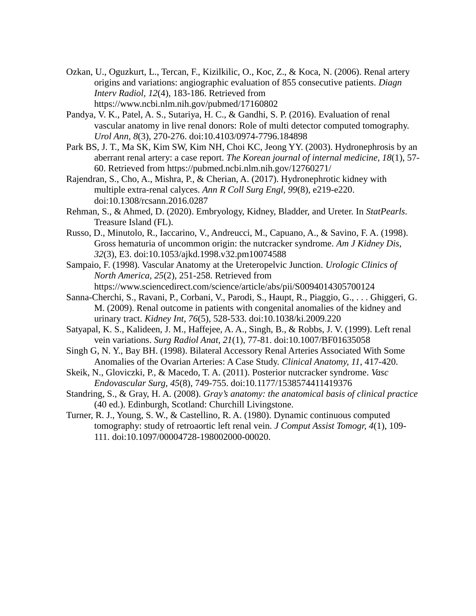- Ozkan, U., Oguzkurt, L., Tercan, F., Kizilkilic, O., Koc, Z., & Koca, N. (2006). Renal artery origins and variations: angiographic evaluation of 855 consecutive patients. *Diagn Interv Radiol, 12*(4), 183-186. Retrieved from https://www.ncbi.nlm.nih.gov/pubmed/17160802
- Pandya, V. K., Patel, A. S., Sutariya, H. C., & Gandhi, S. P. (2016). Evaluation of renal vascular anatomy in live renal donors: Role of multi detector computed tomography. *Urol Ann, 8*(3), 270-276. doi:10.4103/0974-7796.184898
- Park BS, J. T., Ma SK, Kim SW, Kim NH, Choi KC, Jeong YY. (2003). Hydronephrosis by an aberrant renal artery: a case report. *The Korean journal of internal medicine, 18*(1), 57- 60. Retrieved from https://pubmed.ncbi.nlm.nih.gov/12760271/
- Rajendran, S., Cho, A., Mishra, P., & Cherian, A. (2017). Hydronephrotic kidney with multiple extra-renal calyces. *Ann R Coll Surg Engl, 99*(8), e219-e220. doi:10.1308/rcsann.2016.0287
- Rehman, S., & Ahmed, D. (2020). Embryology, Kidney, Bladder, and Ureter. In *StatPearls*. Treasure Island (FL).
- Russo, D., Minutolo, R., Iaccarino, V., Andreucci, M., Capuano, A., & Savino, F. A. (1998). Gross hematuria of uncommon origin: the nutcracker syndrome. *Am J Kidney Dis, 32*(3), E3. doi:10.1053/ajkd.1998.v32.pm10074588
- Sampaio, F. (1998). Vascular Anatomy at the Ureteropelvic Junction. *Urologic Clinics of North America, 25*(2), 251-258. Retrieved from https://www.sciencedirect.com/science/article/abs/pii/S0094014305700124
- Sanna-Cherchi, S., Ravani, P., Corbani, V., Parodi, S., Haupt, R., Piaggio, G., . . . Ghiggeri, G. M. (2009). Renal outcome in patients with congenital anomalies of the kidney and urinary tract. *Kidney Int, 76*(5), 528-533. doi:10.1038/ki.2009.220
- Satyapal, K. S., Kalideen, J. M., Haffejee, A. A., Singh, B., & Robbs, J. V. (1999). Left renal vein variations. *Surg Radiol Anat, 21*(1), 77-81. doi:10.1007/BF01635058
- Singh G, N. Y., Bay BH. (1998). Bilateral Accessory Renal Arteries Associated With Some Anomalies of the Ovarian Arteries: A Case Study. *Clinical Anatomy, 11*, 417-420.
- Skeik, N., Gloviczki, P., & Macedo, T. A. (2011). Posterior nutcracker syndrome. *Vasc Endovascular Surg, 45*(8), 749-755. doi:10.1177/1538574411419376
- Standring, S., & Gray, H. A. (2008). *Gray's anatomy: the anatomical basis of clinical practice* (40 ed.). Edinburgh, Scotland: Churchill Livingstone.
- Turner, R. J., Young, S. W., & Castellino, R. A. (1980). Dynamic continuous computed tomography: study of retroaortic left renal vein. *J Comput Assist Tomogr, 4*(1), 109- 111. doi:10.1097/00004728-198002000-00020.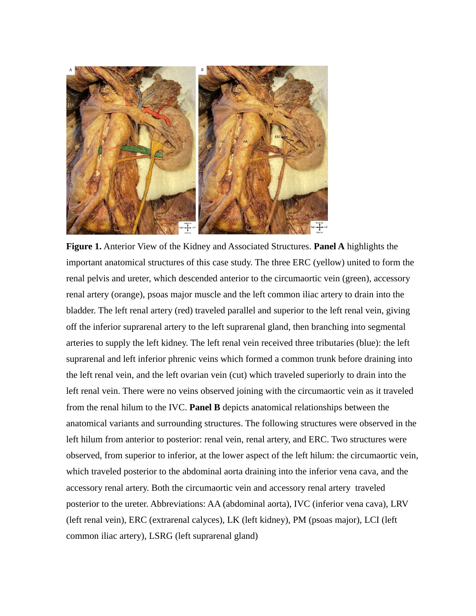

**Figure 1.** Anterior View of the Kidney and Associated Structures. **Panel A** highlights the important anatomical structures of this case study. The three ERC (yellow) united to form the renal pelvis and ureter, which descended anterior to the circumaortic vein (green), accessory renal artery (orange), psoas major muscle and the left common iliac artery to drain into the bladder. The left renal artery (red) traveled parallel and superior to the left renal vein, giving off the inferior suprarenal artery to the left suprarenal gland, then branching into segmental arteries to supply the left kidney. The left renal vein received three tributaries (blue): the left suprarenal and left inferior phrenic veins which formed a common trunk before draining into the left renal vein, and the left ovarian vein (cut) which traveled superiorly to drain into the left renal vein. There were no veins observed joining with the circumaortic vein as it traveled from the renal hilum to the IVC. **Panel B** depicts anatomical relationships between the anatomical variants and surrounding structures. The following structures were observed in the left hilum from anterior to posterior: renal vein, renal artery, and ERC. Two structures were observed, from superior to inferior, at the lower aspect of the left hilum: the circumaortic vein, which traveled posterior to the abdominal aorta draining into the inferior vena cava, and the accessory renal artery. Both the circumaortic vein and accessory renal artery traveled posterior to the ureter. Abbreviations: AA (abdominal aorta), IVC (inferior vena cava), LRV (left renal vein), ERC (extrarenal calyces), LK (left kidney), PM (psoas major), LCI (left common iliac artery), LSRG (left suprarenal gland)